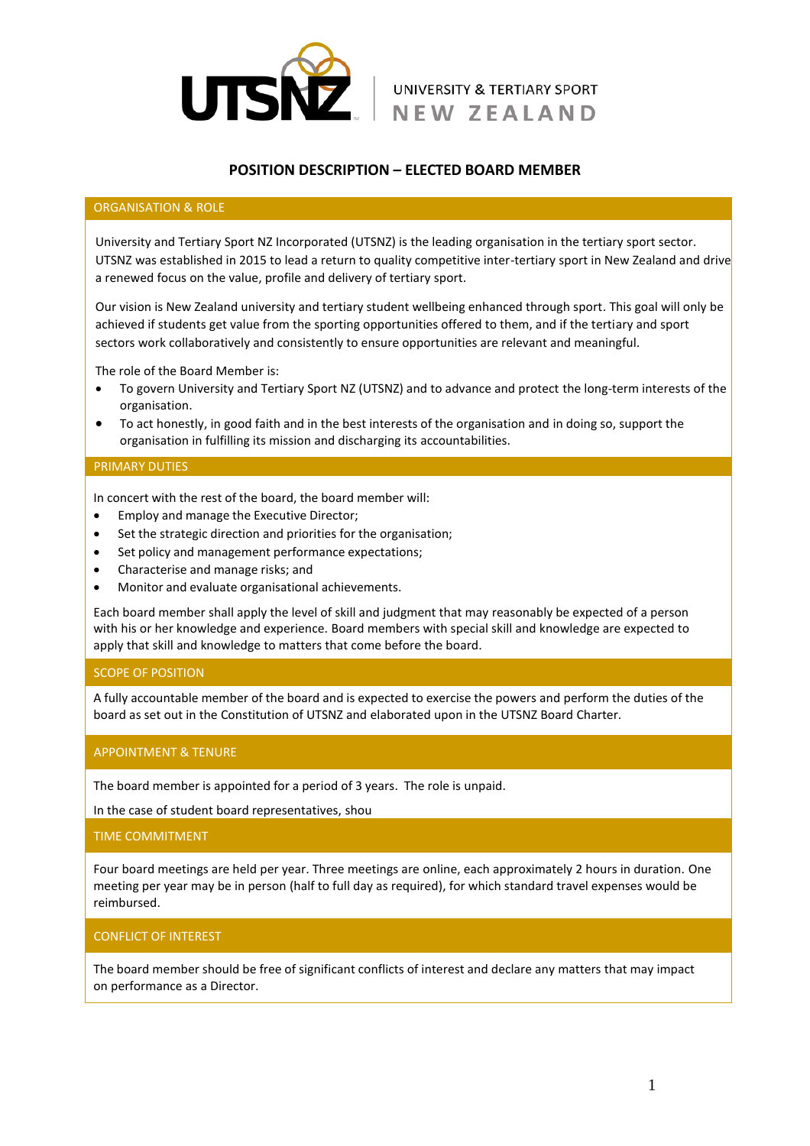

# **POSITION DESCRIPTION – ELECTED BOARD MEMBER**

#### ORGANISATION & ROLE

University and Tertiary Sport NZ Incorporated (UTSNZ) is the leading organisation in the tertiary sport sector. UTSNZ was established in 2015 to lead a return to quality competitive inter-tertiary sport in New Zealand and drive a renewed focus on the value, profile and delivery of tertiary sport.

Our vision is New Zealand university and tertiary student wellbeing enhanced through sport. This goal will only be achieved if students get value from the sporting opportunities offered to them, and if the tertiary and sport sectors work collaboratively and consistently to ensure opportunities are relevant and meaningful.

The role of the Board Member is:

- To govern University and Tertiary Sport NZ (UTSNZ) and to advance and protect the long-term interests of the organisation.
- To act honestly, in good faith and in the best interests of the organisation and in doing so, support the organisation in fulfilling its mission and discharging its accountabilities.

#### PRIMARY DUTIES

In concert with the rest of the board, the board member will:

- Employ and manage the Executive Director;
- Set the strategic direction and priorities for the organisation;
- Set policy and management performance expectations;
- Characterise and manage risks; and
- Monitor and evaluate organisational achievements.

Each board member shall apply the level of skill and judgment that may reasonably be expected of a person with his or her knowledge and experience. Board members with special skill and knowledge are expected to apply that skill and knowledge to matters that come before the board.

#### SCOPE OF POSITION

A fully accountable member of the board and is expected to exercise the powers and perform the duties of the board as set out in the Constitution of UTSNZ and elaborated upon in the UTSNZ Board Charter.

#### APPOINTMENT & TENURE

The board member is appointed for a period of 3 years. The role is unpaid.

In the case of student board representatives, shou

#### TIME COMMITMENT

Four board meetings are held per year. Three meetings are online, each approximately 2 hours in duration. One meeting per year may be in person (half to full day as required), for which standard travel expenses would be reimbursed.

# CONFLICT OF INTEREST

The board member should be free of significant conflicts of interest and declare any matters that may impact on performance as a Director.